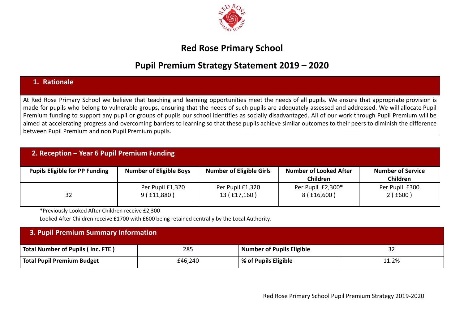

## **Red Rose Primary School**

## **Pupil Premium Strategy Statement 2019 – 2020**

## **1. Rationale**

At Red Rose Primary School we believe that teaching and learning opportunities meet the needs of all pupils. We ensure that appropriate provision is made for pupils who belong to vulnerable groups, ensuring that the needs of such pupils are adequately assessed and addressed. We will allocate Pupil Premium funding to support any pupil or groups of pupils our school identifies as socially disadvantaged. All of our work through Pupil Premium will be aimed at accelerating progress and overcoming barriers to learning so that these pupils achieve similar outcomes to their peers to diminish the difference between Pupil Premium and non Pupil Premium pupils.

| 2. Reception - Year 6 Pupil Premium Funding |                                |                                  |                                                  |                                             |  |  |  |  |
|---------------------------------------------|--------------------------------|----------------------------------|--------------------------------------------------|---------------------------------------------|--|--|--|--|
| <b>Pupils Eligible for PP Funding</b>       | <b>Number of Eligible Boys</b> | <b>Number of Eligible Girls</b>  | <b>Number of Looked After</b><br><b>Children</b> | <b>Number of Service</b><br><b>Children</b> |  |  |  |  |
| 32                                          | Per Pupil £1,320<br>9(£11,880) | Per Pupil £1,320<br>13 (£17,160) | Per Pupil £2,300*<br>8 (£16,600)                 | Per Pupil £300<br>2(£600)                   |  |  |  |  |

**\***Previously Looked After Children receive £2,300

Looked After Children receive £1700 with £600 being retained centrally by the Local Authority.

| 3. Pupil Premium Summary Information |         |                                  |       |  |  |  |
|--------------------------------------|---------|----------------------------------|-------|--|--|--|
| Total Number of Pupils (Inc. FTE)    | 285     | <b>Number of Pupils Eligible</b> |       |  |  |  |
| Total Pupil Premium Budget           | £46,240 | % of Pupils Eligible             | 11.2% |  |  |  |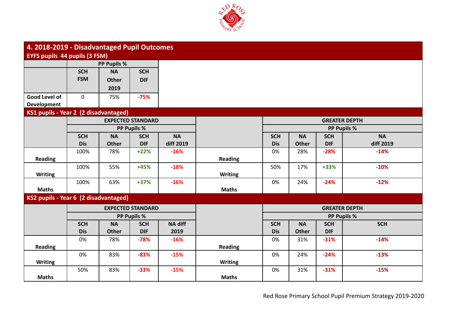

| 4. 2018-2019 - Disadvantaged Pupil Outcomes |             |                    |                          |                |                |            |              |            |                      |
|---------------------------------------------|-------------|--------------------|--------------------------|----------------|----------------|------------|--------------|------------|----------------------|
| EYFS pupils 44 pupils (3 FSM)               |             |                    |                          |                |                |            |              |            |                      |
|                                             |             | <b>PP Pupils %</b> |                          |                |                |            |              |            |                      |
|                                             | <b>SCH</b>  | <b>NA</b>          | <b>SCH</b>               |                |                |            |              |            |                      |
|                                             | <b>FSM</b>  | <b>Other</b>       | <b>DIF</b>               |                |                |            |              |            |                      |
|                                             |             | 2019               |                          |                |                |            |              |            |                      |
| Good Level of                               | $\mathbf 0$ | 75%                | $-75%$                   |                |                |            |              |            |                      |
| <b>Development</b>                          |             |                    |                          |                |                |            |              |            |                      |
| KS1 pupils - Year 2 (2 disadvantaged)       |             |                    |                          |                |                |            |              |            |                      |
|                                             |             |                    | <b>EXPECTED STANDARD</b> |                |                |            |              |            | <b>GREATER DEPTH</b> |
|                                             |             |                    | PP Pupils %              |                |                |            |              |            | <b>PP Pupils %</b>   |
|                                             | <b>SCH</b>  | <b>NA</b>          | <b>SCH</b>               | <b>NA</b>      |                | <b>SCH</b> | <b>NA</b>    | <b>SCH</b> | <b>NA</b>            |
|                                             | <b>Dis</b>  | <b>Other</b>       | <b>DIF</b>               | diff 2019      |                | <b>Dis</b> | <b>Other</b> | <b>DIF</b> | diff 2019            |
|                                             | 100%        | 78%                | $+22%$                   | $-16%$         |                | 0%         | 28%          | $-28%$     | $-14%$               |
| <b>Reading</b>                              |             |                    |                          |                | <b>Reading</b> |            |              |            |                      |
|                                             | 100%        | 55%                | $+45%$                   | $-18%$         |                | 50%        | 17%          | +33%       | $-10%$               |
| <b>Writing</b>                              |             |                    |                          |                | <b>Writing</b> |            |              |            |                      |
|                                             | 100%        | 63%                | $+37%$                   | $-16%$         |                | 0%         | 24%          | $-24%$     | $-12%$               |
| <b>Maths</b>                                |             |                    |                          |                | <b>Maths</b>   |            |              |            |                      |
| KS2 pupils - Year 6 (2 disadvantaged)       |             |                    |                          |                |                |            |              |            |                      |
|                                             |             |                    | <b>EXPECTED STANDARD</b> |                |                |            |              |            | <b>GREATER DEPTH</b> |
|                                             |             |                    | PP Pupils %              |                |                |            |              |            | PP Pupils %          |
|                                             | <b>SCH</b>  | <b>NA</b>          | <b>SCH</b>               | <b>NA diff</b> |                | <b>SCH</b> | <b>NA</b>    | <b>SCH</b> | <b>SCH</b>           |
|                                             | <b>Dis</b>  | <b>Other</b>       | <b>DIF</b>               | 2019           |                | <b>Dis</b> | <b>Other</b> | <b>DIF</b> |                      |
|                                             | 0%          | 78%                | $-78%$                   | $-16%$         |                | 0%         | 31%          | $-31%$     | $-14%$               |
| <b>Reading</b>                              |             |                    |                          |                | <b>Reading</b> |            |              |            |                      |
|                                             | 0%          | 83%                | $-83%$                   | $-15%$         |                | 0%         | 24%          | $-24%$     | $-13%$               |
| <b>Writing</b>                              |             |                    |                          |                | <b>Writing</b> |            |              |            |                      |
|                                             | 50%         | 83%                | $-33%$                   | $-15%$         |                | 0%         | 31%          | $-31%$     | $-15%$               |
| <b>Maths</b>                                |             |                    |                          |                | <b>Maths</b>   |            |              |            |                      |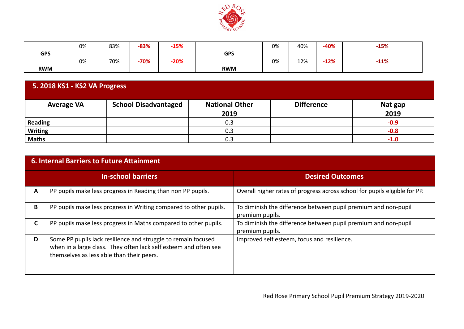

|            | 0% | 83% | $-83%$ | $-15%$ |            | 0% | 40% | $-40%$ | $-15%$ |
|------------|----|-----|--------|--------|------------|----|-----|--------|--------|
| <b>GPS</b> |    |     |        |        | <b>GPS</b> |    |     |        |        |
|            | 0% | 70% | $-70%$ | $-20%$ |            | 0% | 12% | $-12%$ | $-11%$ |
| <b>RWM</b> |    |     |        |        | <b>RWM</b> |    |     |        |        |

| 5. 2018 KS1 - KS2 VA Progress |                             |                               |                   |                 |  |  |
|-------------------------------|-----------------------------|-------------------------------|-------------------|-----------------|--|--|
| <b>Average VA</b>             | <b>School Disadvantaged</b> | <b>National Other</b><br>2019 | <b>Difference</b> | Nat gap<br>2019 |  |  |
| Reading                       |                             | 0.3                           |                   | $-0.9$          |  |  |
| <b>Writing</b>                |                             | 0.3                           |                   | $-0.8$          |  |  |
| <b>Maths</b>                  |                             | 0.3                           |                   | $-1.0$          |  |  |

|   | 6. Internal Barriers to Future Attainment                                                                                                                                      |                                                                                   |  |  |  |  |  |  |  |
|---|--------------------------------------------------------------------------------------------------------------------------------------------------------------------------------|-----------------------------------------------------------------------------------|--|--|--|--|--|--|--|
|   | <b>In-school barriers</b>                                                                                                                                                      | <b>Desired Outcomes</b>                                                           |  |  |  |  |  |  |  |
| A | PP pupils make less progress in Reading than non PP pupils.                                                                                                                    | Overall higher rates of progress across school for pupils eligible for PP.        |  |  |  |  |  |  |  |
| B | PP pupils make less progress in Writing compared to other pupils.                                                                                                              | To diminish the difference between pupil premium and non-pupil<br>premium pupils. |  |  |  |  |  |  |  |
| C | PP pupils make less progress in Maths compared to other pupils.                                                                                                                | To diminish the difference between pupil premium and non-pupil<br>premium pupils. |  |  |  |  |  |  |  |
| D | Some PP pupils lack resilience and struggle to remain focused<br>when in a large class. They often lack self esteem and often see<br>themselves as less able than their peers. | Improved self esteem, focus and resilience.                                       |  |  |  |  |  |  |  |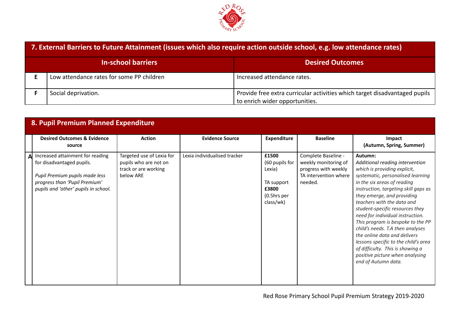

| 7. External Barriers to Future Attainment (issues which also require action outside school, e.g. low attendance rates) |                                                                                                              |  |  |  |  |
|------------------------------------------------------------------------------------------------------------------------|--------------------------------------------------------------------------------------------------------------|--|--|--|--|
| <b>In-school barriers</b>                                                                                              | <b>Desired Outcomes</b>                                                                                      |  |  |  |  |
| Low attendance rates for some PP children                                                                              | Increased attendance rates.                                                                                  |  |  |  |  |
| Social deprivation.                                                                                                    | Provide free extra curricular activities which target disadvantaged pupils<br>to enrich wider opportunities. |  |  |  |  |

| 8. Pupil Premium Planned Expenditure                                                                                                                                     |                                                                                         |                              |                                                                                      |                                                                                                         |                                                                                                                                                                                                                                                                                                                                                                                                                                                                                                                                                                          |
|--------------------------------------------------------------------------------------------------------------------------------------------------------------------------|-----------------------------------------------------------------------------------------|------------------------------|--------------------------------------------------------------------------------------|---------------------------------------------------------------------------------------------------------|--------------------------------------------------------------------------------------------------------------------------------------------------------------------------------------------------------------------------------------------------------------------------------------------------------------------------------------------------------------------------------------------------------------------------------------------------------------------------------------------------------------------------------------------------------------------------|
| <b>Desired Outcomes &amp; Evidence</b><br>source                                                                                                                         | <b>Action</b>                                                                           | <b>Evidence Source</b>       | <b>Expenditure</b>                                                                   | <b>Baseline</b>                                                                                         | Impact<br>(Autumn, Spring, Summer)                                                                                                                                                                                                                                                                                                                                                                                                                                                                                                                                       |
| Increased attainment for reading<br>for disadvantaged pupils.<br>Pupil Premium pupils made less<br>progress than 'Pupil Premium'<br>pupils and 'other' pupils in school. | Targeted use of Lexia for<br>pupils who are not on<br>track or are working<br>below ARE | Lexia individualised tracker | £1500<br>(60 pupils for<br>Lexia)<br>TA support<br>£3800<br>(0.5hrs per<br>class/wk) | Complete Baseline -<br>weekly monitoring of<br>progress with weekly<br>TA intervention where<br>needed. | Autumn:<br>Additional reading intervention<br>which is providing explicit,<br>systematic, personalised learning<br>in the six areas of reading<br>instruction, targeting skill gaps as<br>they emerge, and providing<br>teachers with the data and<br>student-specific resources they<br>need for individual instruction.<br>This program is bespoke to the PP<br>child's needs. T.A then analyses<br>the online data and delivers<br>lessons specific to the child's area<br>of difficulty. This is showing a<br>positive picture when analysing<br>end of Autumn data. |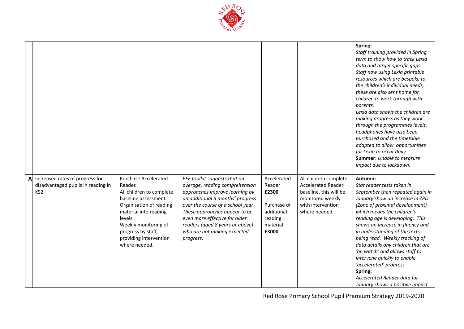

|    |                                                                                          |                                                                                                                                                                                                                                                    |                                                                                                                                                                                                                                                                                                                            |                                                                                             |                                                                                                                                        | Spring:<br>Staff training provided in Spring<br>term to show how to track Lexia<br>data and target specific gaps.<br>Staff now using Lexia printable<br>resources which are bespoke to<br>the children's individual needs,<br>these are also sent home for<br>children to work through with<br>parents.<br>Lexia data shows the children are<br>making progress as they work<br>through the programmes levels.<br>headphones have also been<br>purchased and the timetable<br>adapted to allow opportunities<br>for Lexia to occur daily.<br><b>Summer:</b> Unable to measure<br>impact due to lockdown. |
|----|------------------------------------------------------------------------------------------|----------------------------------------------------------------------------------------------------------------------------------------------------------------------------------------------------------------------------------------------------|----------------------------------------------------------------------------------------------------------------------------------------------------------------------------------------------------------------------------------------------------------------------------------------------------------------------------|---------------------------------------------------------------------------------------------|----------------------------------------------------------------------------------------------------------------------------------------|----------------------------------------------------------------------------------------------------------------------------------------------------------------------------------------------------------------------------------------------------------------------------------------------------------------------------------------------------------------------------------------------------------------------------------------------------------------------------------------------------------------------------------------------------------------------------------------------------------|
| Al | Increased rates of progress for<br>disadvantaged pupils in reading in<br>KS <sub>2</sub> | <b>Purchase Accelerated</b><br>Reader.<br>All children to complete<br>baseline assessment.<br>Organisation of reading<br>material into reading<br>levels.<br>Weekly monitoring of<br>progress by staff,<br>providing intervention<br>where needed. | EEF toolkit suggests that on<br>average, reading comprehension<br>approaches improve learning by<br>an additional 5 months' progress<br>over the course of a school year.<br>These approaches appear to be<br>even more effective for older<br>readers (aged 8 years or above)<br>who are not making expected<br>progress. | Accelerated<br>Reader<br>£2300<br>Purchase of<br>additional<br>reading<br>material<br>£3000 | All children complete<br><b>Accelerated Reader</b><br>baseline, this will be<br>monitored weekly<br>with intervention<br>where needed. | Autumn:<br>Star reader tests taken in<br>September then repeated again in<br>January show an increase in ZPD<br>(Zone of proximal development)<br>which means the children's<br>reading age is developing. This<br>shows an increase in fluency and<br>in understanding of the texts<br>being read. Weekly tracking of<br>data details any children that are<br>'on watch' and allows staff to<br>intervene quickly to enable<br>'accelerated' progress.<br>Spring:<br>Accelerated Reader data for<br>January shows a positive impact-                                                                   |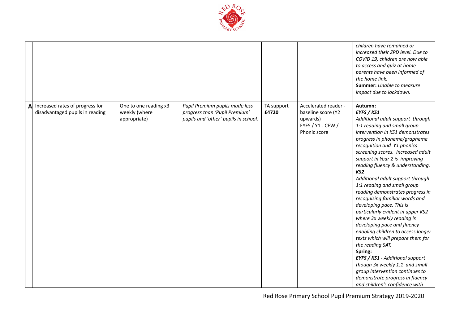

|   |                                                                    |                                                        |                                                                                                         |                     |                                                                                             | children have remained or<br>increased their ZPD level. Due to<br>COVID 19, children are now able<br>to access and quiz at home -<br>parents have been informed of<br>the home link.<br><b>Summer:</b> Unable to measure<br>impact due to lockdown.                                                                                                                                                                                                                                                                                                                                                                                                                                                                                                                                                                                                                                    |
|---|--------------------------------------------------------------------|--------------------------------------------------------|---------------------------------------------------------------------------------------------------------|---------------------|---------------------------------------------------------------------------------------------|----------------------------------------------------------------------------------------------------------------------------------------------------------------------------------------------------------------------------------------------------------------------------------------------------------------------------------------------------------------------------------------------------------------------------------------------------------------------------------------------------------------------------------------------------------------------------------------------------------------------------------------------------------------------------------------------------------------------------------------------------------------------------------------------------------------------------------------------------------------------------------------|
| A | Increased rates of progress for<br>disadvantaged pupils in reading | One to one reading x3<br>weekly (where<br>appropriate) | Pupil Premium pupils made less<br>progress than 'Pupil Premium'<br>pupils and 'other' pupils in school. | TA support<br>£4720 | Accelerated reader -<br>baseline score (Y2<br>upwards)<br>EYFS / Y1 - CEW /<br>Phonic score | Autumn:<br>EYFS / KS1<br>Additional adult support through<br>1:1 reading and small group<br>intervention in KS1 demonstrates<br>progress in phoneme/grapheme<br>recognition and Y1 phonics<br>screening scores. Increased adult<br>support in Year 2 is improving<br>reading fluency & understanding.<br>KS <sub>2</sub><br>Additional adult support through<br>1:1 reading and small group<br>reading demonstrates progress in<br>recognising familiar words and<br>developing pace. This is<br>particularly evident in upper KS2<br>where 3x weekly reading is<br>developing pace and fluency<br>enabling children to access longer<br>texts which will prepare them for<br>the reading SAT.<br>Spring:<br>EYFS / KS1 - Additional support<br>though 3x weekly 1:1 and small<br>group intervention continues to<br>demonstrate progress in fluency<br>and children's confidence with |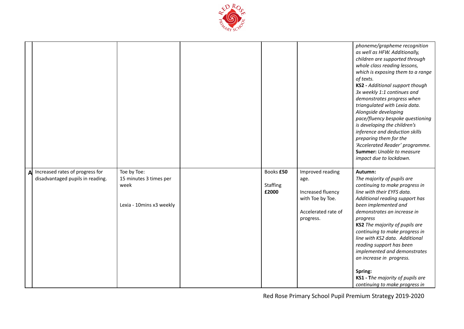

|   |                                                                     |                                                                           |                                       |                                                                                                       | phoneme/grapheme recognition<br>as well as HFW. Additionally,<br>children are supported through<br>whole class reading lessons,<br>which is exposing them to a range<br>of texts.<br><b>KS2</b> - Additional support though<br>3x weekly 1:1 continues and<br>demonstrates progress when<br>triangulated with Lexia data.<br>Alongside developing<br>pace/fluency bespoke questioning<br>is developing the children's<br>inference and deduction skills<br>preparing them for the<br>'Accelerated Reader' programme.<br><b>Summer:</b> Unable to measure<br>impact due to lockdown. |
|---|---------------------------------------------------------------------|---------------------------------------------------------------------------|---------------------------------------|-------------------------------------------------------------------------------------------------------|-------------------------------------------------------------------------------------------------------------------------------------------------------------------------------------------------------------------------------------------------------------------------------------------------------------------------------------------------------------------------------------------------------------------------------------------------------------------------------------------------------------------------------------------------------------------------------------|
| A | Increased rates of progress for<br>disadvantaged pupils in reading. | Toe by Toe:<br>15 minutes 3 times per<br>week<br>Lexia - 10mins x3 weekly | Books £50<br><b>Staffing</b><br>£2000 | Improved reading<br>age.<br>Increased fluency<br>with Toe by Toe.<br>Accelerated rate of<br>progress. | Autumn:<br>The majority of pupils are<br>continuing to make progress in<br>line with their EYFS data.<br>Additional reading support has<br>been implemented and<br>demonstrates an increase in<br>progress<br>KS2 The majority of pupils are<br>continuing to make progress in<br>line with KS2 data. Additional<br>reading support has been<br>implemented and demonstrates<br>an increase in progress.<br>Spring:<br>KS1 - The majority of pupils are<br>continuing to make progress in                                                                                           |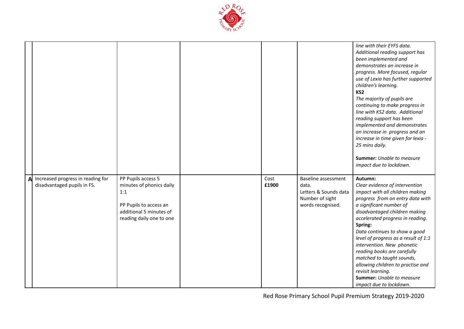

|   |                                                                  |                                                                                                                                        |               |                                                                                                      | line with their EYFS data.<br>Additional reading support has<br>been implemented and<br>demonstrates an increase in<br>progress. More focused, regular<br>use of Lexia has further supported<br>children's learning.<br>KS <sub>2</sub><br>The majority of pupils are<br>continuing to make progress in<br>line with KS2 data. Additional<br>reading support has been<br>implemented and demonstrates<br>an increase in progress and an<br>increase in time given for lexia -<br>25 mins daily.<br><b>Summer:</b> Unable to measure<br>impact due to lockdown. |
|---|------------------------------------------------------------------|----------------------------------------------------------------------------------------------------------------------------------------|---------------|------------------------------------------------------------------------------------------------------|----------------------------------------------------------------------------------------------------------------------------------------------------------------------------------------------------------------------------------------------------------------------------------------------------------------------------------------------------------------------------------------------------------------------------------------------------------------------------------------------------------------------------------------------------------------|
| A | Increased progress in reading for<br>disadvantaged pupils in FS. | PP Pupils access 5<br>minutes of phonics daily<br>1:1<br>PP Pupils to access an<br>additional 5 minutes of<br>reading daily one to one | Cost<br>£1900 | <b>Baseline assessment</b><br>data.<br>Letters & Sounds data<br>Number of sight<br>words recognised. | Autumn:<br>Clear evidence of intervention<br>impact with all children making<br>progress from on entry data with<br>a significant number of<br>disadvantaged children making<br>accelerated progress in reading.<br>Spring:<br>Data continues to show a good<br>level of progress as a result of 1:1<br>intervention. New phonetic<br>reading books are carefully<br>matched to taught sounds,<br>allowing children to practise and<br>revisit learning.<br><b>Summer:</b> Unable to measure<br>impact due to lockdown.                                        |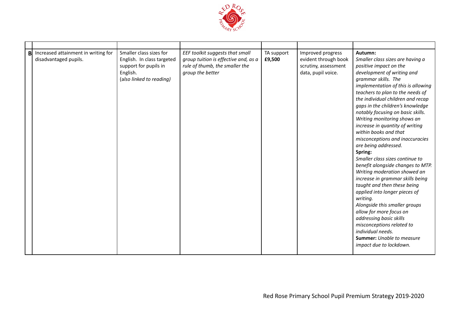

| B | Increased attainment in writing for<br>disadvantaged pupils. | Smaller class sizes for<br>English. In class targeted<br>support for pupils in<br>English.<br>(also linked to reading) | EEF toolkit suggests that small<br>group tuition is effective and, as a<br>rule of thumb, the smaller the<br>group the better | TA support<br>£9,500 | Improved progress<br>evident through book<br>scrutiny, assessment<br>data, pupil voice. | Autumn:<br>Smaller class sizes are having a<br>positive impact on the<br>development of writing and<br>grammar skills. The<br>implementation of this is allowing<br>teachers to plan to the needs of<br>the individual children and recap<br>gaps in the children's knowledge<br>notably focusing on basic skills.<br>Writing monitoring shows an<br>increase in quantity of writing<br>within books and that<br>misconceptions and inaccuracies<br>are being addressed.<br>Spring:<br>Smaller class sizes continue to<br>benefit alongside changes to MTP.<br>Writing moderation showed an<br>increase in grammar skills being<br>taught and then these being<br>applied into longer pieces of<br>writing.<br>Alongside this smaller groups<br>allow for more focus on<br>addressing basic skills<br>misconceptions related to<br>individual needs.<br><b>Summer:</b> Unable to measure<br>impact due to lockdown. |
|---|--------------------------------------------------------------|------------------------------------------------------------------------------------------------------------------------|-------------------------------------------------------------------------------------------------------------------------------|----------------------|-----------------------------------------------------------------------------------------|---------------------------------------------------------------------------------------------------------------------------------------------------------------------------------------------------------------------------------------------------------------------------------------------------------------------------------------------------------------------------------------------------------------------------------------------------------------------------------------------------------------------------------------------------------------------------------------------------------------------------------------------------------------------------------------------------------------------------------------------------------------------------------------------------------------------------------------------------------------------------------------------------------------------|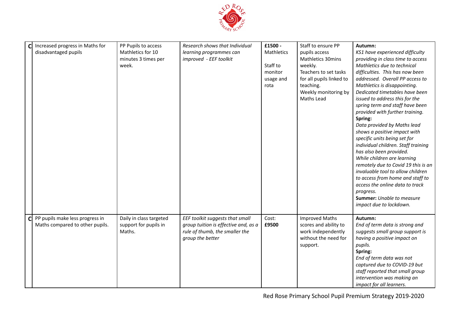

| Cl           | Increased progress in Maths for<br>disadvantaged pupils | PP Pupils to access<br>Mathletics for 10<br>minutes 3 times per<br>week. | Research shows that Individual<br>learning programmes can<br>improved - EEF toolkit        | £1500 -<br>Mathletics<br>Staff to<br>monitor<br>usage and<br>rota | Staff to ensure PP<br>pupils access<br><b>Mathletics 30mins</b><br>weekly.<br>Teachers to set tasks<br>for all pupils linked to<br>teaching.<br>Weekly monitoring by<br>Maths Lead | Autumn:<br>KS1 have experienced difficulty<br>providing in class time to access<br>Mathletics due to technical<br>difficulties. This has now been<br>addressed. Overall PP access to<br>Mathletics is disappointing.<br>Dedicated timetables have been<br>issued to address this for the<br>spring term and staff have been<br>provided with further training.<br>Spring:<br>Data provided by Maths lead<br>shows a positive impact with<br>specific units being set for<br>individual children. Staff training<br>has also been provided.<br>While children are learning<br>remotely due to Covid 19 this is an<br>invaluable tool to allow children<br>to access from home and staff to |
|--------------|---------------------------------------------------------|--------------------------------------------------------------------------|--------------------------------------------------------------------------------------------|-------------------------------------------------------------------|------------------------------------------------------------------------------------------------------------------------------------------------------------------------------------|-------------------------------------------------------------------------------------------------------------------------------------------------------------------------------------------------------------------------------------------------------------------------------------------------------------------------------------------------------------------------------------------------------------------------------------------------------------------------------------------------------------------------------------------------------------------------------------------------------------------------------------------------------------------------------------------|
| $\mathsf{C}$ | PP pupils make less progress in                         | Daily in class targeted                                                  | EEF toolkit suggests that small                                                            | Cost:                                                             | <b>Improved Maths</b>                                                                                                                                                              | <b>Summer:</b> Unable to measure<br>impact due to lockdown.<br>Autumn:                                                                                                                                                                                                                                                                                                                                                                                                                                                                                                                                                                                                                    |
|              | Maths compared to other pupils.                         | support for pupils in<br>Maths.                                          | group tuition is effective and, as a<br>rule of thumb, the smaller the<br>group the better | £9500                                                             | scores and ability to<br>work independently<br>without the need for<br>support.                                                                                                    | End of term data is strong and<br>suggests small group support is<br>having a positive impact on<br>pupils.<br>Spring:<br>End of term data was not<br>captured due to COVID-19 but<br>staff reported that small group<br>intervention was making an<br>impact for all learners.                                                                                                                                                                                                                                                                                                                                                                                                           |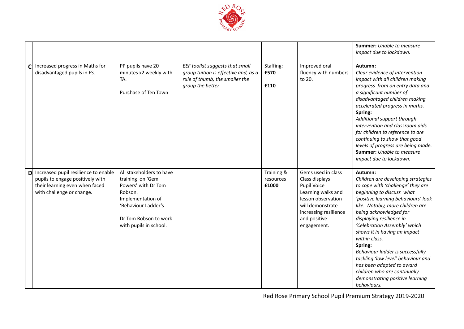

|              |                                                                                                                                         |                                                                                                                                                                               |                                                                                                                               |                                  |                                                                                                                                                                             | <b>Summer:</b> Unable to measure<br>impact due to lockdown.                                                                                                                                                                                                                                                                                                                                                                                                                                                                           |
|--------------|-----------------------------------------------------------------------------------------------------------------------------------------|-------------------------------------------------------------------------------------------------------------------------------------------------------------------------------|-------------------------------------------------------------------------------------------------------------------------------|----------------------------------|-----------------------------------------------------------------------------------------------------------------------------------------------------------------------------|---------------------------------------------------------------------------------------------------------------------------------------------------------------------------------------------------------------------------------------------------------------------------------------------------------------------------------------------------------------------------------------------------------------------------------------------------------------------------------------------------------------------------------------|
| $\mathsf{C}$ | Increased progress in Maths for<br>disadvantaged pupils in FS.                                                                          | PP pupils have 20<br>minutes x2 weekly with<br>TA.<br>Purchase of Ten Town                                                                                                    | EEF toolkit suggests that small<br>group tuition is effective and, as a<br>rule of thumb, the smaller the<br>group the better | Staffing:<br>£570<br>£110        | Improved oral<br>fluency with numbers<br>to 20.                                                                                                                             | Autumn:<br>Clear evidence of intervention<br>impact with all children making<br>progress from on entry data and<br>a significant number of<br>disadvantaged children making<br>accelerated progress in maths.<br>Spring:<br>Additional support through<br>intervention and classroom aids<br>for children to reference to are<br>continuing to show that good<br>levels of progress are being made.<br><b>Summer:</b> Unable to measure<br>impact due to lockdown.                                                                    |
| D            | Increased pupil resilience to enable<br>pupils to engage positively with<br>their learning even when faced<br>with challenge or change. | All stakeholders to have<br>training on 'Gem<br>Powers' with Dr Tom<br>Robson.<br>Implementation of<br>'Behaviour Ladder's<br>Dr Tom Robson to work<br>with pupils in school. |                                                                                                                               | Training &<br>resources<br>£1000 | Gems used in class<br>Class displays<br>Pupil Voice<br>Learning walks and<br>lesson observation<br>will demonstrate<br>increasing resilience<br>and positive<br>engagement. | Autumn:<br>Children are developing strategies<br>to cope with 'challenge' they are<br>beginning to discuss what<br>'positive learning behaviours' look<br>like. Notably, more children are<br>being acknowledged for<br>displaying resilience in<br>'Celebration Assembly' which<br>shows it in having an impact<br>within class.<br>Spring:<br>Behaviour ladder is successfully<br>tackling 'low level' behaviour and<br>has been adapted to award<br>children who are continually<br>demonstrating positive learning<br>behaviours. |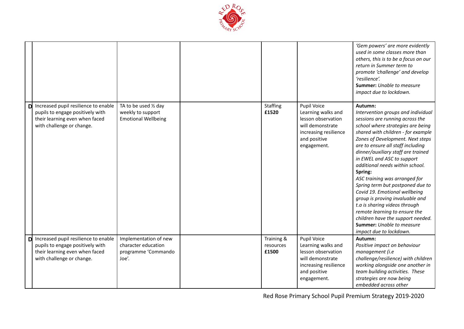

|    |                                                                                                                                         |                                                                              |                                  |                                                                                                                                     | 'Gem powers' are more evidently<br>used in some classes more than<br>others, this is to be a focus on our<br>return in Summer term to<br>promote 'challenge' and develop<br>'resilience'.<br><b>Summer:</b> Unable to measure<br>impact due to lockdown.                                                                                                                                                                                                                                                                                                                                                                                                              |
|----|-----------------------------------------------------------------------------------------------------------------------------------------|------------------------------------------------------------------------------|----------------------------------|-------------------------------------------------------------------------------------------------------------------------------------|-----------------------------------------------------------------------------------------------------------------------------------------------------------------------------------------------------------------------------------------------------------------------------------------------------------------------------------------------------------------------------------------------------------------------------------------------------------------------------------------------------------------------------------------------------------------------------------------------------------------------------------------------------------------------|
|    | Increased pupil resilience to enable<br>pupils to engage positively with<br>their learning even when faced<br>with challenge or change. | TA to be used 1/2 day<br>weekly to support<br><b>Emotional Wellbeing</b>     | Staffing<br>£1520                | Pupil Voice<br>Learning walks and<br>lesson observation<br>will demonstrate<br>increasing resilience<br>and positive<br>engagement. | Autumn:<br>Intervention groups and individual<br>sessions are running across the<br>school where strategies are being<br>shared with children - for example<br>Zones of Development. Next steps<br>are to ensure all staff including<br>dinner/auxiliary staff are trained<br>in EWEL and ASC to support<br>additional needs within school.<br>Spring:<br>ASC training was arranged for<br>Spring term but postponed due to<br>Covid 19. Emotional wellbeing<br>group is proving invaluable and<br>t.a is sharing videos through<br>remote learning to ensure the<br>children have the support needed.<br><b>Summer:</b> Unable to measure<br>impact due to lockdown. |
| Dl | Increased pupil resilience to enable<br>pupils to engage positively with<br>their learning even when faced<br>with challenge or change. | Implementation of new<br>character education<br>programme 'Commando<br>Joe'. | Training &<br>resources<br>£1500 | Pupil Voice<br>Learning walks and<br>lesson observation<br>will demonstrate<br>increasing resilience<br>and positive<br>engagement. | Autumn:<br>Positive impact on behaviour<br>management (i.e<br>challenge/resilience) with children<br>working alongside one another in<br>team building activities. These<br>strategies are now being<br>embedded across other                                                                                                                                                                                                                                                                                                                                                                                                                                         |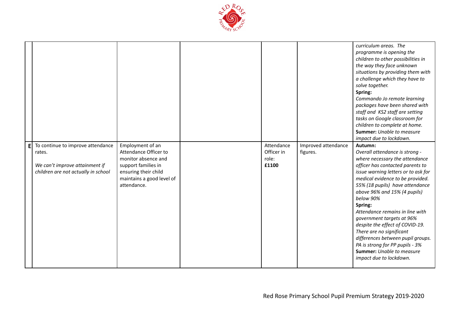

|   |                                                                                                                      |                                                                                                                                                             |                                            |                                 | curriculum areas. The<br>programme is opening the<br>children to other possibilities in<br>the way they face unknown<br>situations by providing them with<br>a challenge which they have to<br>solve together.<br>Spring:<br>Commando Jo remote learning<br>packages have been shared with<br>staff and KS2 staff are setting<br>tasks on Google classroom for<br>children to complete at home.<br><b>Summer:</b> Unable to measure<br>impact due to lockdown.                                                                                              |
|---|----------------------------------------------------------------------------------------------------------------------|-------------------------------------------------------------------------------------------------------------------------------------------------------------|--------------------------------------------|---------------------------------|-------------------------------------------------------------------------------------------------------------------------------------------------------------------------------------------------------------------------------------------------------------------------------------------------------------------------------------------------------------------------------------------------------------------------------------------------------------------------------------------------------------------------------------------------------------|
| E | To continue to improve attendance<br>rates.<br>We can't improve attainment if<br>children are not actually in school | Employment of an<br>Attendance Officer to<br>monitor absence and<br>support families in<br>ensuring their child<br>maintains a good level of<br>attendance. | Attendance<br>Officer in<br>role:<br>£1100 | Improved attendance<br>figures. | Autumn:<br>Overall attendance is strong -<br>where necessary the attendance<br>officer has contacted parents to<br>issue warning letters or to ask for<br>medical evidence to be provided.<br>55% (18 pupils) have attendance<br>above 96% and 15% (4 pupils)<br>below 90%<br>Spring:<br>Attendance remains in line with<br>government targets at 96%<br>despite the effect of COVID-19.<br>There are no significant<br>differences between pupil groups.<br>PA is strong for PP pupils - 3%<br><b>Summer:</b> Unable to measure<br>impact due to lockdown. |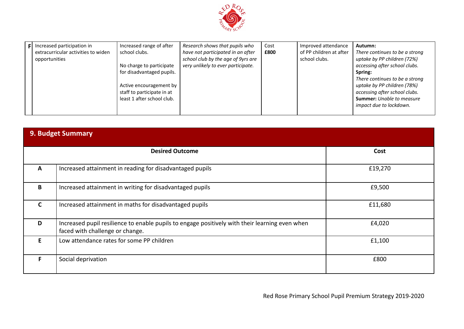

|  | Increased participation in<br>extracurricular activities to widen<br>opportunities | Increased range of after<br>school clubs.<br>No charge to participate<br>for disadvantaged pupils.<br>Active encouragement by<br>staff to participate in at<br>least 1 after school club. | Research shows that pupils who<br>have not participated in an after<br>school club by the age of 9yrs are<br>very unlikely to ever participate. | Cost<br>£800 | Improved attendance<br>of PP children at after<br>school clubs. | Autumn:<br>There continues to be a strong<br>uptake by PP children (72%)<br>accessing after school clubs.<br>Spring:<br>There continues to be a strong<br>uptake by PP children (78%)<br>accessing after school clubs.<br><b>Summer:</b> Unable to measure<br>impact due to lockdown. |
|--|------------------------------------------------------------------------------------|-------------------------------------------------------------------------------------------------------------------------------------------------------------------------------------------|-------------------------------------------------------------------------------------------------------------------------------------------------|--------------|-----------------------------------------------------------------|---------------------------------------------------------------------------------------------------------------------------------------------------------------------------------------------------------------------------------------------------------------------------------------|
|--|------------------------------------------------------------------------------------|-------------------------------------------------------------------------------------------------------------------------------------------------------------------------------------------|-------------------------------------------------------------------------------------------------------------------------------------------------|--------------|-----------------------------------------------------------------|---------------------------------------------------------------------------------------------------------------------------------------------------------------------------------------------------------------------------------------------------------------------------------------|

| <b>9. Budget Summary</b> |                                                                                                                                   |         |  |  |
|--------------------------|-----------------------------------------------------------------------------------------------------------------------------------|---------|--|--|
|                          | <b>Desired Outcome</b>                                                                                                            | Cost    |  |  |
| $\mathbf{A}$             | Increased attainment in reading for disadvantaged pupils                                                                          | £19,270 |  |  |
| B                        | Increased attainment in writing for disadvantaged pupils                                                                          | £9,500  |  |  |
| C                        | Increased attainment in maths for disadvantaged pupils                                                                            | £11,680 |  |  |
| D                        | Increased pupil resilience to enable pupils to engage positively with their learning even when<br>faced with challenge or change. | £4,020  |  |  |
| E.                       | Low attendance rates for some PP children                                                                                         | £1,100  |  |  |
| F.                       | Social deprivation                                                                                                                | £800    |  |  |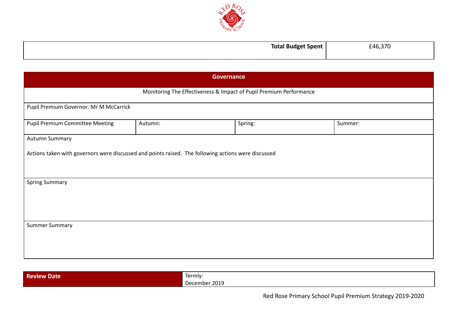

| ' Spent | $\sim$ |
|---------|--------|
| -       | F46 3  |
|         | . .    |
|         |        |
|         |        |

| <b>Governance</b>                      |                                                                                                     |         |         |  |  |  |
|----------------------------------------|-----------------------------------------------------------------------------------------------------|---------|---------|--|--|--|
|                                        | Monitoring The Effectiveness & Impact of Pupil Premium Performance                                  |         |         |  |  |  |
|                                        | Pupil Premium Governor: Mr M McCarrick                                                              |         |         |  |  |  |
| <b>Pupil Premium Committee Meeting</b> | Autumn:                                                                                             | Spring: | Summer: |  |  |  |
| Autumn Summary                         |                                                                                                     |         |         |  |  |  |
|                                        | Actions taken with governors were discussed and points raised. The following actions were discussed |         |         |  |  |  |
| <b>Spring Summary</b>                  |                                                                                                     |         |         |  |  |  |
| <b>Summer Summary</b>                  |                                                                                                     |         |         |  |  |  |

| <b>Review I</b><br>$\boldsymbol{\mathcal{N}}$ Date $\boldsymbol{\mathcal{N}}$ | $\overline{\phantom{0}}$<br>Termly:                             |
|-------------------------------------------------------------------------------|-----------------------------------------------------------------|
|                                                                               | $2019$<br>$\sim$ $\sim$ $\sim$ $\sim$ $\sim$ $\sim$<br>December |